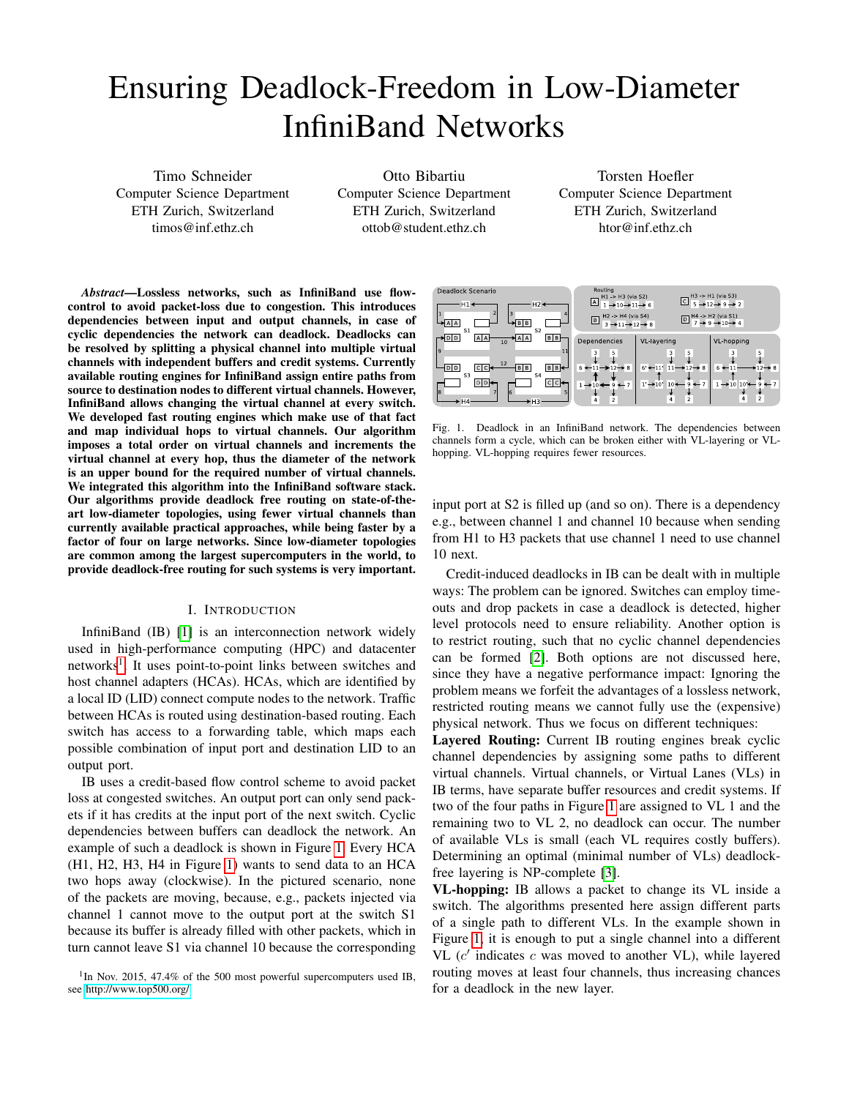# Ensuring Deadlock-Freedom in Low-Diameter InfiniBand Networks

Timo Schneider Computer Science Department ETH Zurich, Switzerland timos@inf.ethz.ch

Otto Bibartiu Computer Science Department ETH Zurich, Switzerland ottob@student.ethz.ch

Torsten Hoefler Computer Science Department ETH Zurich, Switzerland htor@inf.ethz.ch

*Abstract*—Lossless networks, such as InfiniBand use flowcontrol to avoid packet-loss due to congestion. This introduces dependencies between input and output channels, in case of cyclic dependencies the network can deadlock. Deadlocks can be resolved by splitting a physical channel into multiple virtual channels with independent buffers and credit systems. Currently available routing engines for InfiniBand assign entire paths from source to destination nodes to different virtual channels. However, InfiniBand allows changing the virtual channel at every switch. We developed fast routing engines which make use of that fact and map individual hops to virtual channels. Our algorithm imposes a total order on virtual channels and increments the virtual channel at every hop, thus the diameter of the network is an upper bound for the required number of virtual channels. We integrated this algorithm into the InfiniBand software stack. Our algorithms provide deadlock free routing on state-of-theart low-diameter topologies, using fewer virtual channels than currently available practical approaches, while being faster by a factor of four on large networks. Since low-diameter topologies are common among the largest supercomputers in the world, to provide deadlock-free routing for such systems is very important.

## I. INTRODUCTION

InfiniBand (IB) [\[1\]](#page-7-0) is an interconnection network widely used in high-performance computing (HPC) and datacenter networks<sup>[1](#page-0-0)</sup>. It uses point-to-point links between switches and host channel adapters (HCAs). HCAs, which are identified by a local ID (LID) connect compute nodes to the network. Traffic between HCAs is routed using destination-based routing. Each switch has access to a forwarding table, which maps each possible combination of input port and destination LID to an output port.

IB uses a credit-based flow control scheme to avoid packet loss at congested switches. An output port can only send packets if it has credits at the input port of the next switch. Cyclic dependencies between buffers can deadlock the network. An example of such a deadlock is shown in Figure [1.](#page-0-1) Every HCA (H1, H2, H3, H4 in Figure [1\)](#page-0-1) wants to send data to an HCA two hops away (clockwise). In the pictured scenario, none of the packets are moving, because, e.g., packets injected via channel 1 cannot move to the output port at the switch S1 because its buffer is already filled with other packets, which in turn cannot leave S1 via channel 10 because the corresponding



<span id="page-0-1"></span>Fig. 1. Deadlock in an InfiniBand network. The dependencies between channels form a cycle, which can be broken either with VL-layering or VLhopping. VL-hopping requires fewer resources.

input port at S2 is filled up (and so on). There is a dependency e.g., between channel 1 and channel 10 because when sending from H1 to H3 packets that use channel 1 need to use channel 10 next.

Credit-induced deadlocks in IB can be dealt with in multiple ways: The problem can be ignored. Switches can employ timeouts and drop packets in case a deadlock is detected, higher level protocols need to ensure reliability. Another option is to restrict routing, such that no cyclic channel dependencies can be formed [\[2\]](#page-7-1). Both options are not discussed here, since they have a negative performance impact: Ignoring the problem means we forfeit the advantages of a lossless network, restricted routing means we cannot fully use the (expensive) physical network. Thus we focus on different techniques:

Layered Routing: Current IB routing engines break cyclic channel dependencies by assigning some paths to different virtual channels. Virtual channels, or Virtual Lanes (VLs) in IB terms, have separate buffer resources and credit systems. If two of the four paths in Figure [1](#page-0-1) are assigned to VL 1 and the remaining two to VL 2, no deadlock can occur. The number of available VLs is small (each VL requires costly buffers). Determining an optimal (minimal number of VLs) deadlockfree layering is NP-complete [\[3\]](#page-7-2).

VL-hopping: IB allows a packet to change its VL inside a switch. The algorithms presented here assign different parts of a single path to different VLs. In the example shown in Figure [1,](#page-0-1) it is enough to put a single channel into a different VL  $(c'$  indicates  $c$  was moved to another VL), while layered routing moves at least four channels, thus increasing chances for a deadlock in the new layer.

<span id="page-0-0"></span><sup>&</sup>lt;sup>1</sup>In Nov. 2015, 47.4% of the 500 most powerful supercomputers used IB, see<http://www.top500.org/>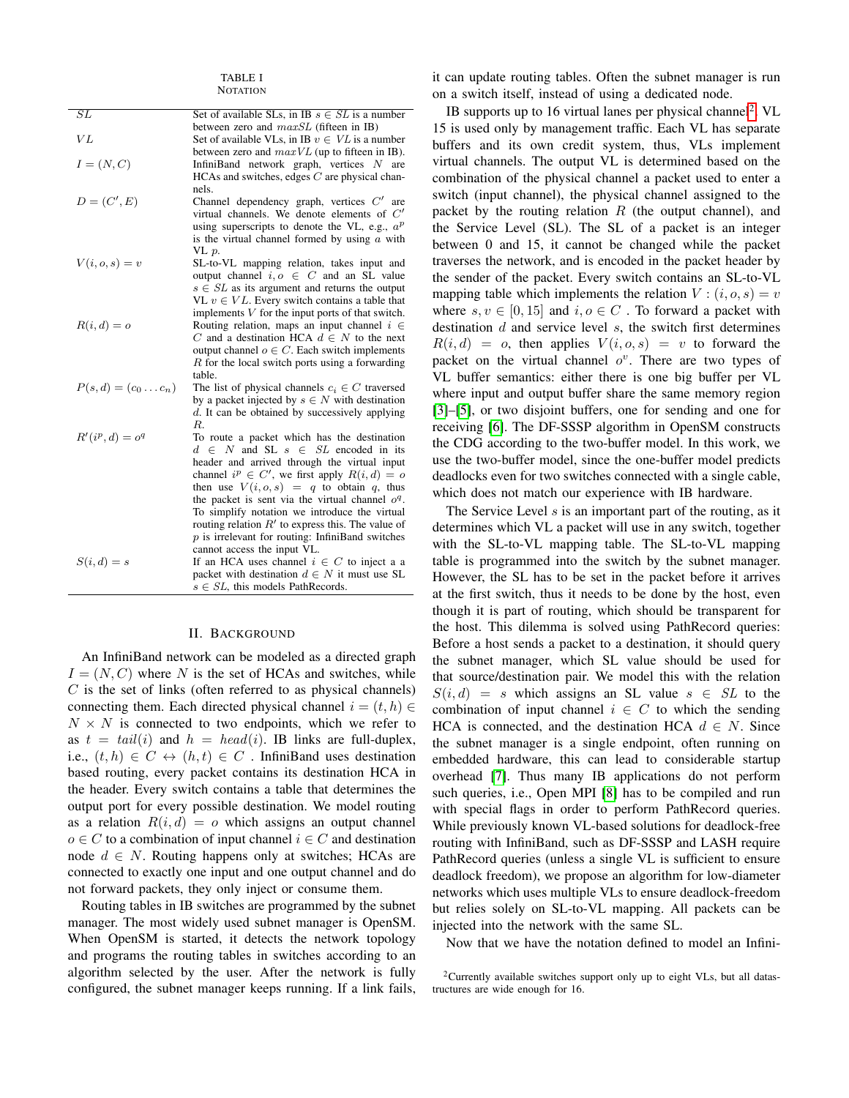TABLE I **NOTATION** 

| $\overline{SL}$        | Set of available SLs, in IB $s \in SL$ is a number  |
|------------------------|-----------------------------------------------------|
|                        | between zero and maxSL (fifteen in IB)              |
| VI                     | Set of available VLs, in IB $v \in VL$ is a number  |
|                        | between zero and $maxVL$ (up to fifteen in IB).     |
| $I=(N,C)$              | InfiniBand network graph, vertices $N$ are          |
|                        | HCAs and switches, edges $C$ are physical chan-     |
|                        | nels.                                               |
| $D=(C',E)$             | Channel dependency graph, vertices $C'$ are         |
|                        | virtual channels. We denote elements of $C'$        |
|                        | using superscripts to denote the VL, e.g., $a^p$    |
|                        |                                                     |
|                        | is the virtual channel formed by using $a$ with     |
|                        | VL p.                                               |
| $V(i, o, s) = v$       | SL-to-VL mapping relation, takes input and          |
|                        | output channel $i, o \in C$ and an SL value         |
|                        | $s \in SL$ as its argument and returns the output   |
|                        | VL $v \in VL$ . Every switch contains a table that  |
|                        | implements $V$ for the input ports of that switch.  |
| $R(i, d) = o$          | Routing relation, maps an input channel $i \in$     |
|                        | C and a destination HCA $d \in N$ to the next       |
|                        | output channel $o \in C$ . Each switch implements   |
|                        | $R$ for the local switch ports using a forwarding   |
|                        | table.                                              |
| $P(s, d) = (c_0  c_n)$ | The list of physical channels $c_i \in C$ traversed |
|                        | by a packet injected by $s \in N$ with destination  |
|                        |                                                     |
|                        | d. It can be obtained by successively applying      |
|                        | $R_{\cdot}$                                         |
| $R'(i^p,d) = o^q$      | To route a packet which has the destination         |
|                        | $d \in N$ and SL $s \in SL$ encoded in its          |
|                        | header and arrived through the virtual input        |
|                        | channel $i^p \in C'$ , we first apply $R(i, d) = o$ |
|                        | then use $V(i, o, s) = q$ to obtain q, thus         |
|                        | the packet is sent via the virtual channel $oq$ .   |
|                        | To simplify notation we introduce the virtual       |
|                        | routing relation $R'$ to express this. The value of |
|                        | $p$ is irrelevant for routing: InfiniBand switches  |
|                        | cannot access the input VL.                         |
| $S(i,d)=s$             | If an HCA uses channel $i \in C$ to inject a a      |
|                        | packet with destination $d \in N$ it must use SL    |
|                        |                                                     |
|                        | $s \in SL$ , this models PathRecords.               |

## II. BACKGROUND

An InfiniBand network can be modeled as a directed graph  $I = (N, C)$  where N is the set of HCAs and switches, while  $C$  is the set of links (often referred to as physical channels) connecting them. Each directed physical channel  $i = (t, h) \in$  $N \times N$  is connected to two endpoints, which we refer to as  $t = tail(i)$  and  $h = head(i)$ . IB links are full-duplex, i.e.,  $(t, h) \in C \leftrightarrow (h, t) \in C$ . InfiniBand uses destination based routing, every packet contains its destination HCA in the header. Every switch contains a table that determines the output port for every possible destination. We model routing as a relation  $R(i, d) = o$  which assigns an output channel  $o \in C$  to a combination of input channel  $i \in C$  and destination node  $d \in N$ . Routing happens only at switches; HCAs are connected to exactly one input and one output channel and do not forward packets, they only inject or consume them.

Routing tables in IB switches are programmed by the subnet manager. The most widely used subnet manager is OpenSM. When OpenSM is started, it detects the network topology and programs the routing tables in switches according to an algorithm selected by the user. After the network is fully configured, the subnet manager keeps running. If a link fails, it can update routing tables. Often the subnet manager is run on a switch itself, instead of using a dedicated node.

IB supports up to 16 virtual lanes per physical channel<sup>[2](#page-1-0)</sup>. VL 15 is used only by management traffic. Each VL has separate buffers and its own credit system, thus, VLs implement virtual channels. The output VL is determined based on the combination of the physical channel a packet used to enter a switch (input channel), the physical channel assigned to the packet by the routing relation  $R$  (the output channel), and the Service Level (SL). The SL of a packet is an integer between 0 and 15, it cannot be changed while the packet traverses the network, and is encoded in the packet header by the sender of the packet. Every switch contains an SL-to-VL mapping table which implements the relation  $V : (i, o, s) = v$ where  $s, v \in [0, 15]$  and  $i, o \in C$ . To forward a packet with destination  $d$  and service level  $s$ , the switch first determines  $R(i, d) = o$ , then applies  $V(i, o, s) = v$  to forward the packet on the virtual channel  $o^v$ . There are two types of VL buffer semantics: either there is one big buffer per VL where input and output buffer share the same memory region [\[3\]](#page-7-2)–[\[5\]](#page-7-3), or two disjoint buffers, one for sending and one for receiving [\[6\]](#page-7-4). The DF-SSSP algorithm in OpenSM constructs the CDG according to the two-buffer model. In this work, we use the two-buffer model, since the one-buffer model predicts deadlocks even for two switches connected with a single cable, which does not match our experience with IB hardware.

The Service Level  $s$  is an important part of the routing, as it determines which VL a packet will use in any switch, together with the SL-to-VL mapping table. The SL-to-VL mapping table is programmed into the switch by the subnet manager. However, the SL has to be set in the packet before it arrives at the first switch, thus it needs to be done by the host, even though it is part of routing, which should be transparent for the host. This dilemma is solved using PathRecord queries: Before a host sends a packet to a destination, it should query the subnet manager, which SL value should be used for that source/destination pair. We model this with the relation  $S(i, d) = s$  which assigns an SL value  $s \in SL$  to the combination of input channel  $i \in C$  to which the sending HCA is connected, and the destination HCA  $d \in N$ . Since the subnet manager is a single endpoint, often running on embedded hardware, this can lead to considerable startup overhead [\[7\]](#page-7-5). Thus many IB applications do not perform such queries, i.e., Open MPI [\[8\]](#page-7-6) has to be compiled and run with special flags in order to perform PathRecord queries. While previously known VL-based solutions for deadlock-free routing with InfiniBand, such as DF-SSSP and LASH require PathRecord queries (unless a single VL is sufficient to ensure deadlock freedom), we propose an algorithm for low-diameter networks which uses multiple VLs to ensure deadlock-freedom but relies solely on SL-to-VL mapping. All packets can be injected into the network with the same SL.

Now that we have the notation defined to model an Infini-

<span id="page-1-0"></span> $2$ Currently available switches support only up to eight VLs, but all datastructures are wide enough for 16.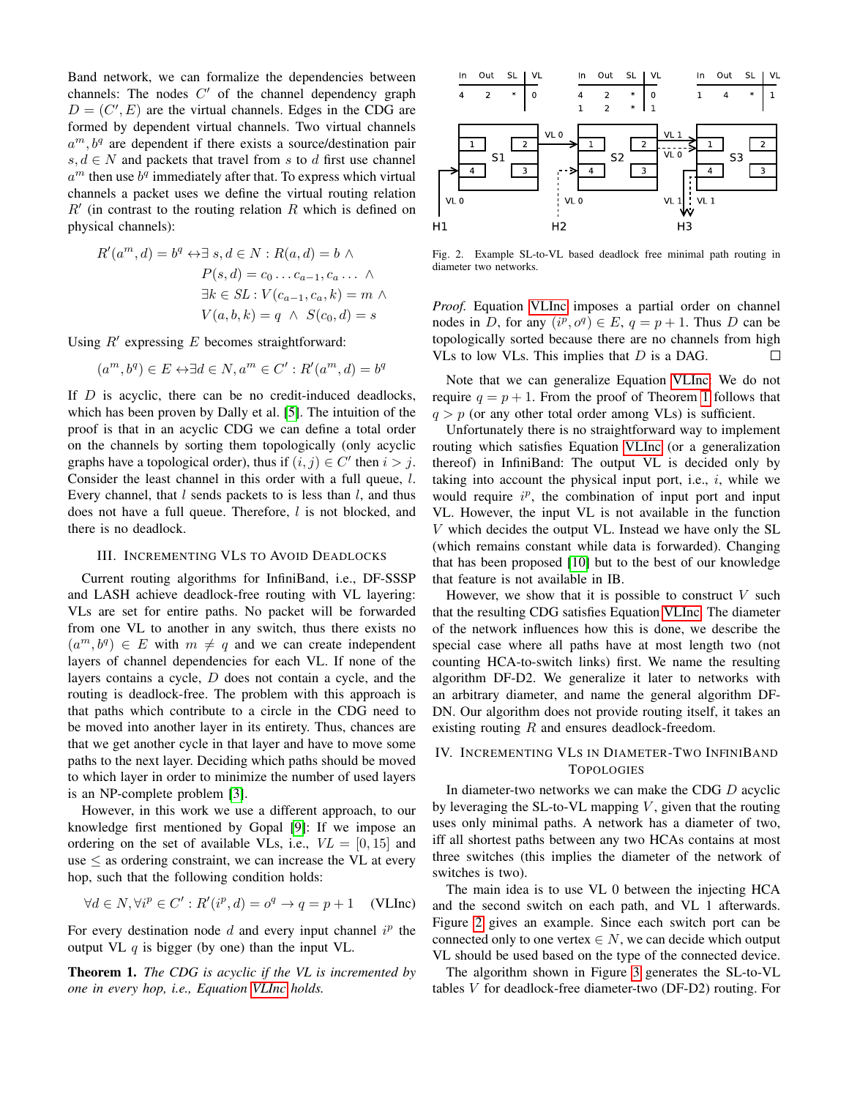Band network, we can formalize the dependencies between channels: The nodes  $C'$  of the channel dependency graph  $D = (C', E)$  are the virtual channels. Edges in the CDG are formed by dependent virtual channels. Two virtual channels  $a^m$ ,  $b^q$  are dependent if there exists a source/destination pair  $s, d \in N$  and packets that travel from s to d first use channel  $a^m$  then use  $b^q$  immediately after that. To express which virtual channels a packet uses we define the virtual routing relation  $R'$  (in contrast to the routing relation R which is defined on physical channels):

$$
R'(a^m, d) = b^q \leftrightarrow \exists s, d \in N : R(a, d) = b \land
$$
  
\n
$$
P(s, d) = c_0 \dots c_{a-1}, c_a \dots \land
$$
  
\n
$$
\exists k \in SL : V(c_{a-1}, c_a, k) = m \land
$$
  
\n
$$
V(a, b, k) = q \land S(c_0, d) = s
$$

Using  $R'$  expressing  $E$  becomes straightforward:

$$
(a^m, b^q) \in E \leftrightarrow \exists d \in N, a^m \in C' : R'(a^m, d) = b^q
$$

If  $D$  is acyclic, there can be no credit-induced deadlocks, which has been proven by Dally et al. [\[5\]](#page-7-3). The intuition of the proof is that in an acyclic CDG we can define a total order on the channels by sorting them topologically (only acyclic graphs have a topological order), thus if  $(i, j) \in C'$  then  $i > j$ . Consider the least channel in this order with a full queue, l. Every channel, that  $l$  sends packets to is less than  $l$ , and thus does not have a full queue. Therefore, *l* is not blocked, and there is no deadlock.

#### III. INCREMENTING VLS TO AVOID DEADLOCKS

Current routing algorithms for InfiniBand, i.e., DF-SSSP and LASH achieve deadlock-free routing with VL layering: VLs are set for entire paths. No packet will be forwarded from one VL to another in any switch, thus there exists no  $(a^m, b^q) \in E$  with  $m \neq q$  and we can create independent layers of channel dependencies for each VL. If none of the layers contains a cycle, D does not contain a cycle, and the routing is deadlock-free. The problem with this approach is that paths which contribute to a circle in the CDG need to be moved into another layer in its entirety. Thus, chances are that we get another cycle in that layer and have to move some paths to the next layer. Deciding which paths should be moved to which layer in order to minimize the number of used layers is an NP-complete problem [\[3\]](#page-7-2).

However, in this work we use a different approach, to our knowledge first mentioned by Gopal [\[9\]](#page-7-7): If we impose an ordering on the set of available VLs, i.e.,  $VL = [0, 15]$  and use  $\leq$  as ordering constraint, we can increase the VL at every hop, such that the following condition holds:

$$
\forall d \in N, \forall i^p \in C' : R'(i^p, d) = o^q \to q = p + 1 \quad \text{(VLInc)}
$$

For every destination node  $d$  and every input channel  $i^p$  the output VL  $q$  is bigger (by one) than the input VL.

<span id="page-2-1"></span>Theorem 1. *The CDG is acyclic if the VL is incremented by one in every hop, i.e., Equation [VLInc](#page-2-0) holds.*



<span id="page-2-2"></span>Fig. 2. Example SL-to-VL based deadlock free minimal path routing in diameter two networks.

*Proof.* Equation [VLInc](#page-2-0) imposes a partial order on channel nodes in D, for any  $(i^p, o^q) \in E$ ,  $q = p + 1$ . Thus D can be topologically sorted because there are no channels from high VLs to low VLs. This implies that  $D$  is a DAG.  $\Box$ 

Note that we can generalize Equation [VLInc:](#page-2-0) We do not require  $q = p + 1$  $q = p + 1$ . From the proof of Theorem 1 follows that  $q > p$  (or any other total order among VLs) is sufficient.

Unfortunately there is no straightforward way to implement routing which satisfies Equation [VLInc](#page-2-0) (or a generalization thereof) in InfiniBand: The output VL is decided only by taking into account the physical input port, i.e.,  $i$ , while we would require  $i^p$ , the combination of input port and input VL. However, the input VL is not available in the function V which decides the output VL. Instead we have only the SL (which remains constant while data is forwarded). Changing that has been proposed [\[10\]](#page-7-8) but to the best of our knowledge that feature is not available in IB.

However, we show that it is possible to construct  $V$  such that the resulting CDG satisfies Equation [VLInc.](#page-2-0) The diameter of the network influences how this is done, we describe the special case where all paths have at most length two (not counting HCA-to-switch links) first. We name the resulting algorithm DF-D2. We generalize it later to networks with an arbitrary diameter, and name the general algorithm DF-DN. Our algorithm does not provide routing itself, it takes an existing routing  $R$  and ensures deadlock-freedom.

# <span id="page-2-3"></span>IV. INCREMENTING VLS IN DIAMETER-TWO INFINIBAND **TOPOLOGIES**

In diameter-two networks we can make the CDG D acyclic by leveraging the SL-to-VL mapping  $V$ , given that the routing uses only minimal paths. A network has a diameter of two, iff all shortest paths between any two HCAs contains at most three switches (this implies the diameter of the network of switches is two).

<span id="page-2-0"></span>The main idea is to use VL 0 between the injecting HCA and the second switch on each path, and VL 1 afterwards. Figure [2](#page-2-2) gives an example. Since each switch port can be connected only to one vertex  $\in N$ , we can decide which output VL should be used based on the type of the connected device.

The algorithm shown in Figure [3](#page-3-0) generates the SL-to-VL tables V for deadlock-free diameter-two (DF-D2) routing. For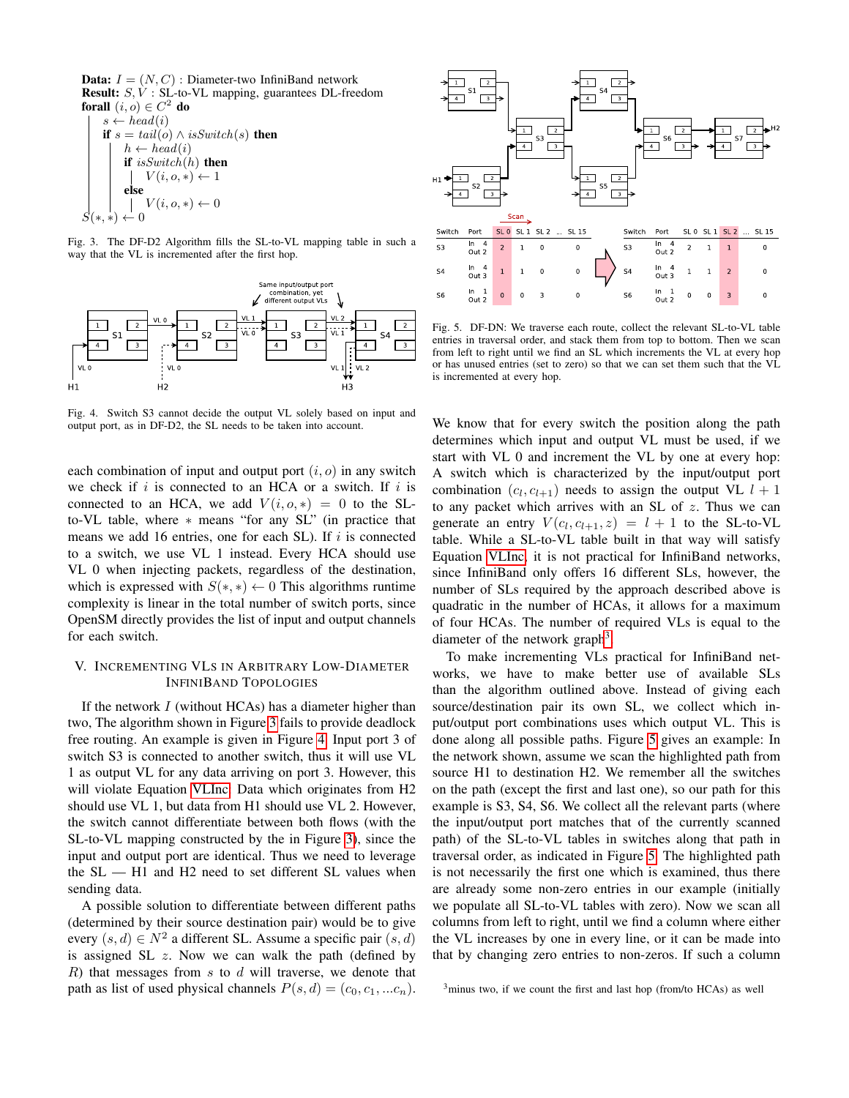**Data:**  $I = (N, C)$ : Diameter-two InfiniBand network Result: S, V : SL-to-VL mapping, guarantees DL-freedom forall  $(i, o) \in C^2$  do  $s \leftarrow head(i)$ if  $s = tail(o) \wedge isSwitch(s)$  then  $h \leftarrow head(i)$ if  $isSwitch(h)$  then  $\mathbf{I}$  $V(i, o, *) \leftarrow 1$ 

$$
S(*,*) \leftarrow 0
$$
  
 
$$
S(*,*) \leftarrow 0
$$

<span id="page-3-0"></span>Fig. 3. The DF-D2 Algorithm fills the SL-to-VL mapping table in such a way that the VL is incremented after the first hop.



<span id="page-3-1"></span>Fig. 4. Switch S3 cannot decide the output VL solely based on input and output port, as in DF-D2, the SL needs to be taken into account.

each combination of input and output port  $(i, o)$  in any switch we check if  $i$  is connected to an HCA or a switch. If  $i$  is connected to an HCA, we add  $V(i, o, *) = 0$  to the SLto-VL table, where ∗ means "for any SL" (in practice that means we add 16 entries, one for each SL). If  $i$  is connected to a switch, we use VL 1 instead. Every HCA should use VL 0 when injecting packets, regardless of the destination, which is expressed with  $S(*, *) \leftarrow 0$  This algorithms runtime complexity is linear in the total number of switch ports, since OpenSM directly provides the list of input and output channels for each switch.

# <span id="page-3-4"></span>V. INCREMENTING VLS IN ARBITRARY LOW-DIAMETER INFINIBAND TOPOLOGIES

If the network  $I$  (without HCAs) has a diameter higher than two, The algorithm shown in Figure [3](#page-3-0) fails to provide deadlock free routing. An example is given in Figure [4.](#page-3-1) Input port 3 of switch S3 is connected to another switch, thus it will use VL 1 as output VL for any data arriving on port 3. However, this will violate Equation [VLInc:](#page-2-0) Data which originates from H2 should use VL 1, but data from H1 should use VL 2. However, the switch cannot differentiate between both flows (with the SL-to-VL mapping constructed by the in Figure [3\)](#page-3-0), since the input and output port are identical. Thus we need to leverage the SL — H1 and H2 need to set different SL values when sending data.

A possible solution to differentiate between different paths (determined by their source destination pair) would be to give every  $(s, d) \in N^2$  a different SL. Assume a specific pair  $(s, d)$ is assigned SL  $z$ . Now we can walk the path (defined by  $R$ ) that messages from s to  $d$  will traverse, we denote that path as list of used physical channels  $P(s, d) = (c_0, c_1, ... c_n)$ .



<span id="page-3-3"></span>Fig. 5. DF-DN: We traverse each route, collect the relevant SL-to-VL table entries in traversal order, and stack them from top to bottom. Then we scan from left to right until we find an SL which increments the VL at every hop or has unused entries (set to zero) so that we can set them such that the VL is incremented at every hop.

We know that for every switch the position along the path determines which input and output VL must be used, if we start with VL 0 and increment the VL by one at every hop: A switch which is characterized by the input/output port combination  $(c_l, c_{l+1})$  needs to assign the output VL  $l + 1$ to any packet which arrives with an SL of  $z$ . Thus we can generate an entry  $V(c_l, c_{l+1}, z) = l + 1$  to the SL-to-VL table. While a SL-to-VL table built in that way will satisfy Equation [VLInc,](#page-2-0) it is not practical for InfiniBand networks, since InfiniBand only offers 16 different SLs, however, the number of SLs required by the approach described above is quadratic in the number of HCAs, it allows for a maximum of four HCAs. The number of required VLs is equal to the diameter of the network graph<sup>[3](#page-3-2)</sup>.

To make incrementing VLs practical for InfiniBand networks, we have to make better use of available SLs than the algorithm outlined above. Instead of giving each source/destination pair its own SL, we collect which input/output port combinations uses which output VL. This is done along all possible paths. Figure [5](#page-3-3) gives an example: In the network shown, assume we scan the highlighted path from source H1 to destination H2. We remember all the switches on the path (except the first and last one), so our path for this example is S3, S4, S6. We collect all the relevant parts (where the input/output port matches that of the currently scanned path) of the SL-to-VL tables in switches along that path in traversal order, as indicated in Figure [5.](#page-3-3) The highlighted path is not necessarily the first one which is examined, thus there are already some non-zero entries in our example (initially we populate all SL-to-VL tables with zero). Now we scan all columns from left to right, until we find a column where either the VL increases by one in every line, or it can be made into that by changing zero entries to non-zeros. If such a column

<span id="page-3-2"></span> $3$ minus two, if we count the first and last hop (from/to HCAs) as well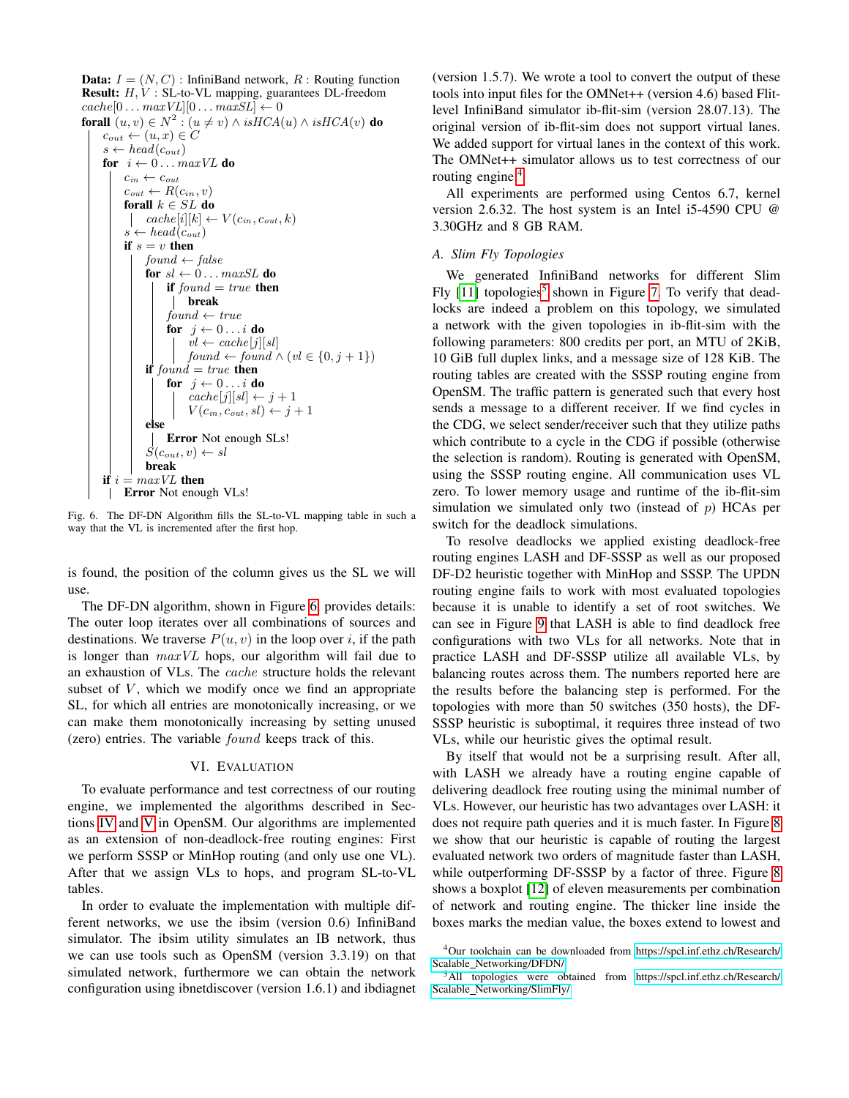**Data:**  $I = (N, C)$ : InfiniBand network, R : Routing function Result: H, V : SL-to-VL mapping, guarantees DL-freedom  $cache[0 \dots maxVL][0 \dots maxSL] \leftarrow 0$ **forall**  $(u, v) \in N^2$  :  $(u \neq v) \wedge isHCA(u) \wedge isHCA(v)$  **do**  $c_{out} \leftarrow (u, x) \in C$  $s \leftarrow head(c_{out})$ for  $i \leftarrow 0 \dots maxVL$  do  $c_{in} \leftarrow c_{out}$  $c_{out} \leftarrow R(c_{in}, v)$ forall  $k \in SL$  do |  $cache[i][k] \leftarrow V(c_{in}, c_{out}, k)$  $s \leftarrow head(c_{out})$ if  $s = v$  then  $found \leftarrow false$ for  $sl \leftarrow 0 \dots maxSL$  do if  $found = true$  then break  $found \leftarrow true$ for  $j \leftarrow 0 \dots i$  do  $vl \leftarrow cache[j][sl]$  $found \leftarrow found \wedge (vl \in \{0, j+1\})$ if found  $= true$  then for  $j \leftarrow 0 \ldots i$  do  $cache[j][sl] \leftarrow j + 1$  $V(c_{in}, c_{out}, sl) \leftarrow j+1$ else Error Not enough SLs!  $S(c_{out}, v) \leftarrow sl$ break if  $i = maxVL$  then | **Error** Not enough VLs!

<span id="page-4-0"></span>Fig. 6. The DF-DN Algorithm fills the SL-to-VL mapping table in such a way that the VL is incremented after the first hop.

is found, the position of the column gives us the SL we will use.

The DF-DN algorithm, shown in Figure [6,](#page-4-0) provides details: The outer loop iterates over all combinations of sources and destinations. We traverse  $P(u, v)$  in the loop over i, if the path is longer than  $maxVL$  hops, our algorithm will fail due to an exhaustion of VLs. The cache structure holds the relevant subset of  $V$ , which we modify once we find an appropriate SL, for which all entries are monotonically increasing, or we can make them monotonically increasing by setting unused (zero) entries. The variable found keeps track of this.

#### VI. EVALUATION

To evaluate performance and test correctness of our routing engine, we implemented the algorithms described in Sections [IV](#page-2-3) and [V](#page-3-4) in OpenSM. Our algorithms are implemented as an extension of non-deadlock-free routing engines: First we perform SSSP or MinHop routing (and only use one VL). After that we assign VLs to hops, and program SL-to-VL tables.

In order to evaluate the implementation with multiple different networks, we use the ibsim (version 0.6) InfiniBand simulator. The ibsim utility simulates an IB network, thus we can use tools such as OpenSM (version 3.3.19) on that simulated network, furthermore we can obtain the network configuration using ibnetdiscover (version 1.6.1) and ibdiagnet (version 1.5.7). We wrote a tool to convert the output of these tools into input files for the OMNet++ (version 4.6) based Flitlevel InfiniBand simulator ib-flit-sim (version 28.07.13). The original version of ib-flit-sim does not support virtual lanes. We added support for virtual lanes in the context of this work. The OMNet++ simulator allows us to test correctness of our routing engine.<sup>[4](#page-4-1)</sup>

All experiments are performed using Centos 6.7, kernel version 2.6.32. The host system is an Intel i5-4590 CPU @ 3.30GHz and 8 GB RAM.

#### *A. Slim Fly Topologies*

We generated InfiniBand networks for different Slim Fly [\[11\]](#page-7-9) topologies<sup>[5](#page-4-2)</sup> shown in Figure [7.](#page-5-0) To verify that deadlocks are indeed a problem on this topology, we simulated a network with the given topologies in ib-flit-sim with the following parameters: 800 credits per port, an MTU of 2KiB, 10 GiB full duplex links, and a message size of 128 KiB. The routing tables are created with the SSSP routing engine from OpenSM. The traffic pattern is generated such that every host sends a message to a different receiver. If we find cycles in the CDG, we select sender/receiver such that they utilize paths which contribute to a cycle in the CDG if possible (otherwise the selection is random). Routing is generated with OpenSM, using the SSSP routing engine. All communication uses VL zero. To lower memory usage and runtime of the ib-flit-sim simulation we simulated only two (instead of  $p$ ) HCAs per switch for the deadlock simulations.

To resolve deadlocks we applied existing deadlock-free routing engines LASH and DF-SSSP as well as our proposed DF-D2 heuristic together with MinHop and SSSP. The UPDN routing engine fails to work with most evaluated topologies because it is unable to identify a set of root switches. We can see in Figure [9](#page-5-1) that LASH is able to find deadlock free configurations with two VLs for all networks. Note that in practice LASH and DF-SSSP utilize all available VLs, by balancing routes across them. The numbers reported here are the results before the balancing step is performed. For the topologies with more than 50 switches (350 hosts), the DF-SSSP heuristic is suboptimal, it requires three instead of two VLs, while our heuristic gives the optimal result.

By itself that would not be a surprising result. After all, with LASH we already have a routing engine capable of delivering deadlock free routing using the minimal number of VLs. However, our heuristic has two advantages over LASH: it does not require path queries and it is much faster. In Figure [8](#page-5-2) we show that our heuristic is capable of routing the largest evaluated network two orders of magnitude faster than LASH, while outperforming DF-SSSP by a factor of three. Figure [8](#page-5-2) shows a boxplot [\[12\]](#page-7-10) of eleven measurements per combination of network and routing engine. The thicker line inside the boxes marks the median value, the boxes extend to lowest and

<span id="page-4-1"></span><sup>4</sup>Our toolchain can be downloaded from [https://spcl.inf.ethz.ch/Research/](https://spcl.inf.ethz.ch/Research/Scalable_Networking/DFDN/) Scalable\_[Networking/DFDN/.](https://spcl.inf.ethz.ch/Research/Scalable_Networking/DFDN/)

<span id="page-4-2"></span><sup>5</sup>All topologies were obtained from [https://spcl.inf.ethz.ch/Research/](https://spcl.inf.ethz.ch/Research/Scalable_Networking/SlimFly/) Scalable [Networking/SlimFly/](https://spcl.inf.ethz.ch/Research/Scalable_Networking/SlimFly/)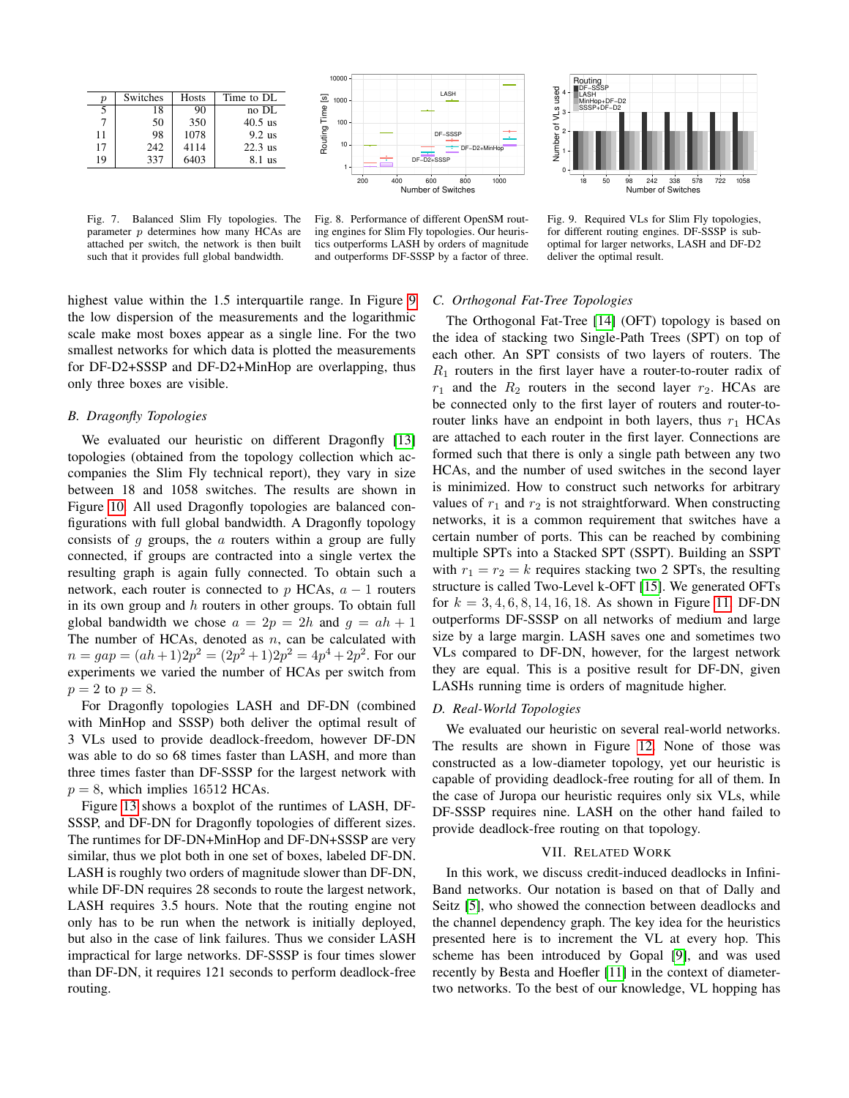| р  | <b>Switches</b> | Hosts | Time to DL |
|----|-----------------|-------|------------|
| 5  | 18              | 90    | no DL      |
|    | 50              | 350   | $40.5$ us  |
| 11 | 98              | 1078  | $9.2$ us   |
| 17 | 242             | 4114  | $22.3$ us  |
| 19 | 337             | 6403  | 8.1 us     |

<span id="page-5-0"></span>Fig. 7. Balanced Slim Fly topologies. The parameter p determines how many HCAs are attached per switch, the network is then built such that it provides full global bandwidth.





<span id="page-5-2"></span>Fig. 8. Performance of different OpenSM routing engines for Slim Fly topologies. Our heuristics outperforms LASH by orders of magnitude and outperforms DF-SSSP by a factor of three.

<span id="page-5-1"></span>Fig. 9. Required VLs for Slim Fly topologies, for different routing engines. DF-SSSP is suboptimal for larger networks, LASH and DF-D2 deliver the optimal result.

highest value within the 1.5 interquartile range. In Figure [9](#page-5-1) the low dispersion of the measurements and the logarithmic scale make most boxes appear as a single line. For the two smallest networks for which data is plotted the measurements for DF-D2+SSSP and DF-D2+MinHop are overlapping, thus only three boxes are visible.

## *B. Dragonfly Topologies*

We evaluated our heuristic on different Dragonfly [\[13\]](#page-7-11) topologies (obtained from the topology collection which accompanies the Slim Fly technical report), they vary in size between 18 and 1058 switches. The results are shown in Figure [10.](#page-6-0) All used Dragonfly topologies are balanced configurations with full global bandwidth. A Dragonfly topology consists of  $q$  groups, the  $a$  routers within a group are fully connected, if groups are contracted into a single vertex the resulting graph is again fully connected. To obtain such a network, each router is connected to p HCAs,  $a - 1$  routers in its own group and  $h$  routers in other groups. To obtain full global bandwidth we chose  $a = 2p = 2h$  and  $g = ah + 1$ The number of HCAs, denoted as  $n$ , can be calculated with  $n = gap = (ah+1)2p^2 = (2p^2+1)2p^2 = 4p^4+2p^2$ . For our experiments we varied the number of HCAs per switch from  $p=2$  to  $p=8$ .

For Dragonfly topologies LASH and DF-DN (combined with MinHop and SSSP) both deliver the optimal result of 3 VLs used to provide deadlock-freedom, however DF-DN was able to do so 68 times faster than LASH, and more than three times faster than DF-SSSP for the largest network with  $p = 8$ , which implies 16512 HCAs.

Figure [13](#page-6-1) shows a boxplot of the runtimes of LASH, DF-SSSP, and DF-DN for Dragonfly topologies of different sizes. The runtimes for DF-DN+MinHop and DF-DN+SSSP are very similar, thus we plot both in one set of boxes, labeled DF-DN. LASH is roughly two orders of magnitude slower than DF-DN, while DF-DN requires 28 seconds to route the largest network, LASH requires 3.5 hours. Note that the routing engine not only has to be run when the network is initially deployed, but also in the case of link failures. Thus we consider LASH impractical for large networks. DF-SSSP is four times slower than DF-DN, it requires 121 seconds to perform deadlock-free routing.

# *C. Orthogonal Fat-Tree Topologies*

The Orthogonal Fat-Tree [\[14\]](#page-7-12) (OFT) topology is based on the idea of stacking two Single-Path Trees (SPT) on top of each other. An SPT consists of two layers of routers. The  $R_1$  routers in the first layer have a router-to-router radix of  $r_1$  and the  $R_2$  routers in the second layer  $r_2$ . HCAs are be connected only to the first layer of routers and router-torouter links have an endpoint in both layers, thus  $r_1$  HCAs are attached to each router in the first layer. Connections are formed such that there is only a single path between any two HCAs, and the number of used switches in the second layer is minimized. How to construct such networks for arbitrary values of  $r_1$  and  $r_2$  is not straightforward. When constructing networks, it is a common requirement that switches have a certain number of ports. This can be reached by combining multiple SPTs into a Stacked SPT (SSPT). Building an SSPT with  $r_1 = r_2 = k$  requires stacking two 2 SPTs, the resulting structure is called Two-Level k-OFT [\[15\]](#page-7-13). We generated OFTs for  $k = 3, 4, 6, 8, 14, 16, 18$ . As shown in Figure [11,](#page-6-2) DF-DN outperforms DF-SSSP on all networks of medium and large size by a large margin. LASH saves one and sometimes two VLs compared to DF-DN, however, for the largest network they are equal. This is a positive result for DF-DN, given LASHs running time is orders of magnitude higher.

## *D. Real-World Topologies*

We evaluated our heuristic on several real-world networks. The results are shown in Figure [12.](#page-6-3) None of those was constructed as a low-diameter topology, yet our heuristic is capable of providing deadlock-free routing for all of them. In the case of Juropa our heuristic requires only six VLs, while DF-SSSP requires nine. LASH on the other hand failed to provide deadlock-free routing on that topology.

#### VII. RELATED WORK

In this work, we discuss credit-induced deadlocks in Infini-Band networks. Our notation is based on that of Dally and Seitz [\[5\]](#page-7-3), who showed the connection between deadlocks and the channel dependency graph. The key idea for the heuristics presented here is to increment the VL at every hop. This scheme has been introduced by Gopal [\[9\]](#page-7-7), and was used recently by Besta and Hoefler [\[11\]](#page-7-9) in the context of diametertwo networks. To the best of our knowledge, VL hopping has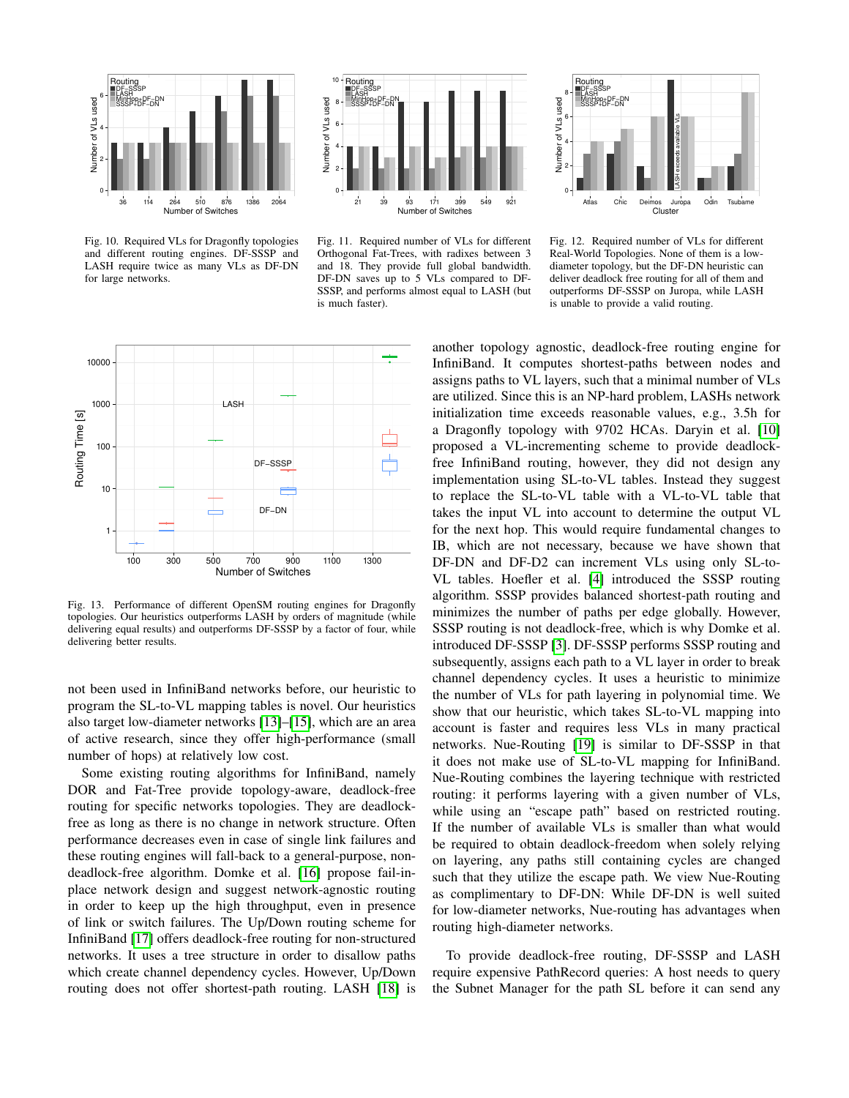

<span id="page-6-0"></span>Fig. 10. Required VLs for Dragonfly topologies and different routing engines. DF-SSSP and LASH require twice as many VLs as DF-DN for large networks.





<span id="page-6-2"></span>Fig. 11. Required number of VLs for different Orthogonal Fat-Trees, with radixes between 3 and 18. They provide full global bandwidth. DF-DN saves up to 5 VLs compared to DF-SSSP, and performs almost equal to LASH (but is much faster).

<span id="page-6-3"></span>Fig. 12. Required number of VLs for different Real-World Topologies. None of them is a lowdiameter topology, but the DF-DN heuristic can deliver deadlock free routing for all of them and outperforms DF-SSSP on Juropa, while LASH is unable to provide a valid routing.



<span id="page-6-1"></span>Fig. 13. Performance of different OpenSM routing engines for Dragonfly topologies. Our heuristics outperforms LASH by orders of magnitude (while delivering equal results) and outperforms DF-SSSP by a factor of four, while delivering better results.

not been used in InfiniBand networks before, our heuristic to program the SL-to-VL mapping tables is novel. Our heuristics also target low-diameter networks [\[13\]](#page-7-11)–[\[15\]](#page-7-13), which are an area of active research, since they offer high-performance (small number of hops) at relatively low cost.

Some existing routing algorithms for InfiniBand, namely DOR and Fat-Tree provide topology-aware, deadlock-free routing for specific networks topologies. They are deadlockfree as long as there is no change in network structure. Often performance decreases even in case of single link failures and these routing engines will fall-back to a general-purpose, nondeadlock-free algorithm. Domke et al. [\[16\]](#page-7-14) propose fail-inplace network design and suggest network-agnostic routing in order to keep up the high throughput, even in presence of link or switch failures. The Up/Down routing scheme for InfiniBand [\[17\]](#page-7-15) offers deadlock-free routing for non-structured networks. It uses a tree structure in order to disallow paths which create channel dependency cycles. However, Up/Down routing does not offer shortest-path routing. LASH [\[18\]](#page-7-16) is another topology agnostic, deadlock-free routing engine for InfiniBand. It computes shortest-paths between nodes and assigns paths to VL layers, such that a minimal number of VLs are utilized. Since this is an NP-hard problem, LASHs network initialization time exceeds reasonable values, e.g., 3.5h for a Dragonfly topology with 9702 HCAs. Daryin et al. [\[10\]](#page-7-8) proposed a VL-incrementing scheme to provide deadlockfree InfiniBand routing, however, they did not design any implementation using SL-to-VL tables. Instead they suggest to replace the SL-to-VL table with a VL-to-VL table that takes the input VL into account to determine the output VL for the next hop. This would require fundamental changes to IB, which are not necessary, because we have shown that DF-DN and DF-D2 can increment VLs using only SL-to-VL tables. Hoefler et al. [\[4\]](#page-7-17) introduced the SSSP routing algorithm. SSSP provides balanced shortest-path routing and minimizes the number of paths per edge globally. However, SSSP routing is not deadlock-free, which is why Domke et al. introduced DF-SSSP [\[3\]](#page-7-2). DF-SSSP performs SSSP routing and subsequently, assigns each path to a VL layer in order to break channel dependency cycles. It uses a heuristic to minimize the number of VLs for path layering in polynomial time. We show that our heuristic, which takes SL-to-VL mapping into account is faster and requires less VLs in many practical networks. Nue-Routing [\[19\]](#page-7-18) is similar to DF-SSSP in that it does not make use of SL-to-VL mapping for InfiniBand. Nue-Routing combines the layering technique with restricted routing: it performs layering with a given number of VLs, while using an "escape path" based on restricted routing. If the number of available VLs is smaller than what would be required to obtain deadlock-freedom when solely relying on layering, any paths still containing cycles are changed such that they utilize the escape path. We view Nue-Routing as complimentary to DF-DN: While DF-DN is well suited for low-diameter networks, Nue-routing has advantages when routing high-diameter networks.

To provide deadlock-free routing, DF-SSSP and LASH require expensive PathRecord queries: A host needs to query the Subnet Manager for the path SL before it can send any